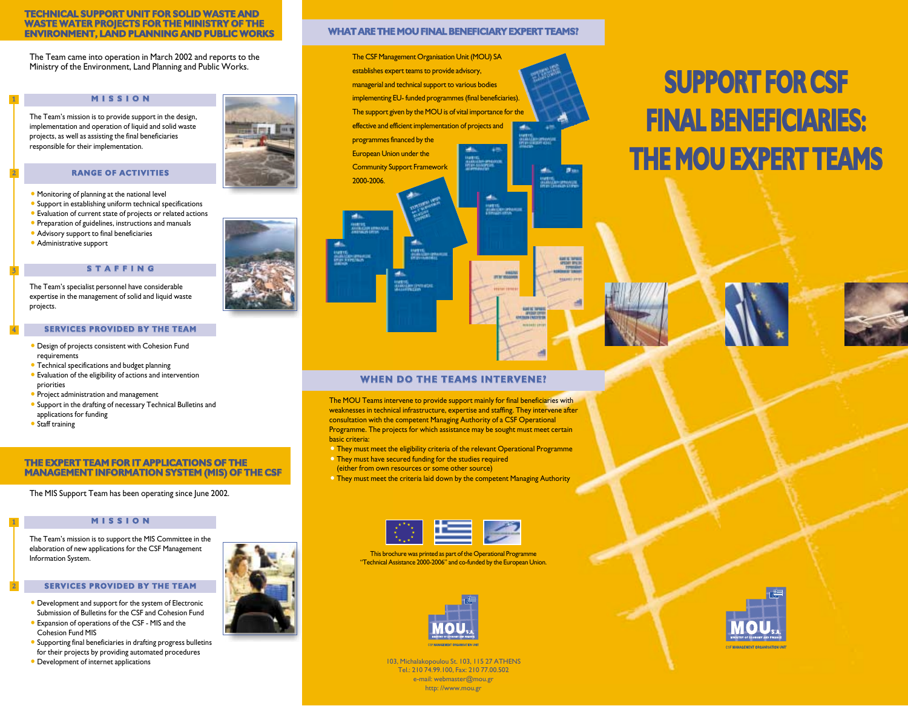#### **TECHNICAL SUPPORT UNIT FOR SOLID WASTE AND WASTE WATER PROJECTS FOR THE MINISTRY OF THE ENVIRONMENT, LAND PLANNING AND PUBLIC WORKS**

The Team came into operation in March 2002 and reports to the Ministry of the Environment, Land Planning and Public Works.

# **M I S S I O N**

The Team's mission is to provide support in the design, implementation and operation of liquid and solid waste projects, as well as assisting the final beneficiaries responsible for their implementation.

#### **RANGE OF ACTIVITIES**

- $\bullet$  Monitoring of planning at the national level
- $\bullet$  Support in establishing uniform technical specifications
- Evaluation of current state of projects or related actions
- **Preparation of guidelines, instructions and manuals**
- Advisory support to final beneficiaries
- $\bullet$  Administrative support

1

2

3

4

1

2

# **S T A F F I N G**

The Team's specialist personnel have considerable expertise in the management of solid and liquid waste projects.

#### **SERVICES PROVIDED BY THE TEAM**

- <sup>o</sup> Design of projects consistent with Cohesion Fund requirements
- Technical specifications and budget planning
- Evaluation of the eligibility of actions and intervention priorities
- Project administration and management
- Support in the drafting of necessary Technical Bulletins and applications for funding
- $\bullet$  Staff training

# **THE EXPERT TEAM FOR IT APPLICATIONS OF THE MANAGEMENT INFORMATION SYSTEM (MIS) OF THE CSF**

The MIS Support Team has been operating since June 2002.

# **M I S S I O N**

The Team's mission is to support the MIS Committee in the elaboration of new applications for the CSF Management Information System.

#### **SERVICES PROVIDED BY THE TEAM**

- Development and support for the system of Electronic Submission of Bulletins for the CSF and Cohesion Fund
- Expansion of operations of the CSF MIS and the Cohesion Fund MIS
- Supporting final beneficiaries in drafting progress bulletins for their projects by providing automated procedures
- **Development of internet applications**

# **WHAT ARE THE MOU FINAL BENEFICIARY EXPERT TEAMS?**



# **SUPPORT FOR CSF FINAL BENEFICIARIES: THE MOU EXPERT TEAMS**





# **WHEN DO THE TEAMS INTERVENE?**

The MOU Teams intervene to provide support mainly for final beneficiaries with weaknesses in technical infrastructure, expertise and staffing. They intervene after consultation with the competent Managing Authority of a CSF Operational Programme. The projects for which assistance may be sought must meet certain basic criteria:

- <sup>o</sup> They must meet the eligibility criteria of the relevant Operational Programme
- $\bullet$  They must have secured funding for the studies required (either from own resources or some other source)
- <sup>o</sup> They must meet the criteria laid down by the competent Managing Authority



This brochure was printed as part of the Operational Programme "Technical Assistance 2000-2006" and co-funded by the European Union.



103, Michalakopoulou St. 103, 115 27 ATHENS Tel.: 210 74.99.100, Fax: 210 77.00.502 e-mail: webmaster@mou.gr http: //www.mou.gr